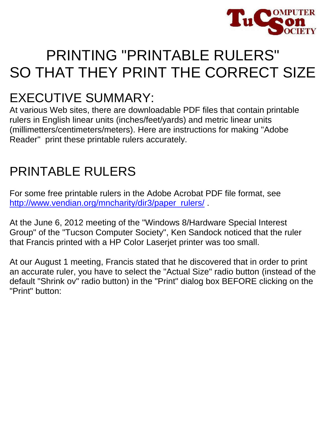

# PRINTING "PRINTABLE RULERS" SO THAT THEY PRINT THE CORRECT SIZE

## EXECUTIVE SUMMARY:

At various Web sites, there are downloadable PDF files that contain printable rulers in English linear units (inches/feet/yards) and metric linear units (millimetters/centimeters/meters). Here are instructions for making "Adobe Reader" print these printable rulers accurately.

# PRINTABLE RULERS

For some free printable rulers in the Adobe Acrobat PDF file format, see [http://www.vendian.org/mncharity/dir3/paper\\_rulers/](http://www.vendian.org/mncharity/dir3/paper_rulers/)

At the June 6, 2012 meeting of the "Windows 8/Hardware Special Interest Group" of the "Tucson Computer Society", Ken Sandock noticed that the ruler that Francis printed with a HP Color Laserjet printer was too small.

At our August 1 meeting, Francis stated that he discovered that in order to print an accurate ruler, you have to select the "Actual Size" radio button (instead of the default "Shrink ov" radio button) in the "Print" dialog box BEFORE clicking on the "Print" button: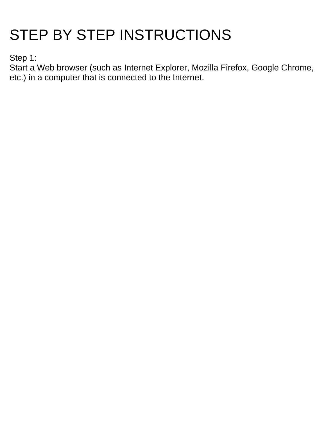# STEP BY STEP INSTRUCTIONS

Step 1:

Start a Web browser (such as Internet Explorer, Mozilla Firefox, Google Chrome, etc.) in a computer that is connected to the Internet.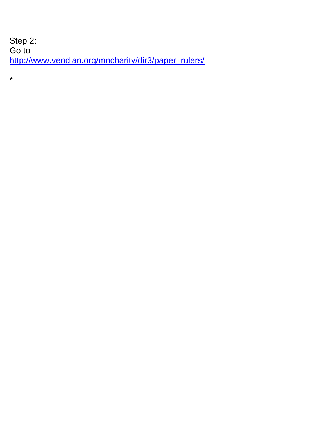Step 2: Go to [http://www.vendian.org/mncharity/dir3/paper\\_rulers/](http://www.vendian.org/mncharity/dir3/paper_rulers/)

\*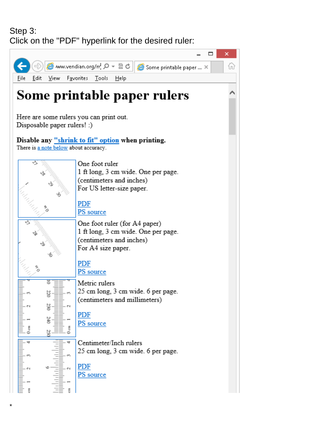#### Step 3: Click on the "PDF" hyperlink for the desired ruler:

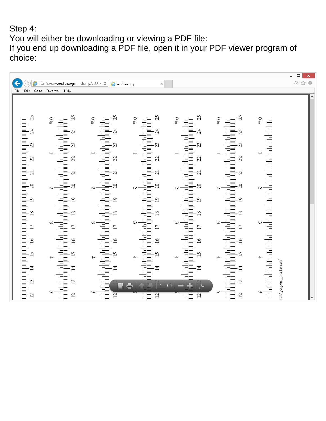#### Step 4:

You will either be downloading or viewing a PDF file:

If you end up downloading a PDF file, open it in your PDF viewer program of choice:

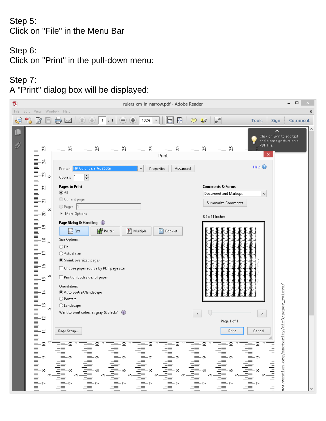#### Step 5: Click on "File" in the Menu Bar

#### Step 6:

Click on "Print" in the pull-down menu:

## Step 7:

A "Print" dialog box will be displayed:

| 包      |                                                                                                                                                                                                                                                                                      | □<br>rulers_cm_in_narrow.pdf - Adobe Reader                                                                                                                                                                                                                                                                                                                                                                                                                                                                                                                                                                                                                                                                                                                                                                                                                                                                                                                                                                                                                                                                                                                                                                                                                                                                                                                                                                    |  |
|--------|--------------------------------------------------------------------------------------------------------------------------------------------------------------------------------------------------------------------------------------------------------------------------------------|----------------------------------------------------------------------------------------------------------------------------------------------------------------------------------------------------------------------------------------------------------------------------------------------------------------------------------------------------------------------------------------------------------------------------------------------------------------------------------------------------------------------------------------------------------------------------------------------------------------------------------------------------------------------------------------------------------------------------------------------------------------------------------------------------------------------------------------------------------------------------------------------------------------------------------------------------------------------------------------------------------------------------------------------------------------------------------------------------------------------------------------------------------------------------------------------------------------------------------------------------------------------------------------------------------------------------------------------------------------------------------------------------------------|--|
| File   | View<br>Edit                                                                                                                                                                                                                                                                         | Window<br>Help<br>×                                                                                                                                                                                                                                                                                                                                                                                                                                                                                                                                                                                                                                                                                                                                                                                                                                                                                                                                                                                                                                                                                                                                                                                                                                                                                                                                                                                            |  |
| 建      | 汐                                                                                                                                                                                                                                                                                    | Œ<br>F.<br>亭<br>100%<br>V<br>Ð<br><b>Tools</b><br>$\mathbf{1}$<br>/1<br>$\equiv$<br><b>Sign</b><br>Comment<br>▼<br>同                                                                                                                                                                                                                                                                                                                                                                                                                                                                                                                                                                                                                                                                                                                                                                                                                                                                                                                                                                                                                                                                                                                                                                                                                                                                                           |  |
| Ľ<br>O | SS.<br>4                                                                                                                                                                                                                                                                             | ∼<br>Click on Sign to add text<br>and place signature on a<br>PDF File.<br>–≕న<br>$= -8$<br>–— న<br>–'ଧ<br>×<br>Print<br>Help $\odot$<br>HP Color LaserJet 2600n<br>Advanced<br>Printer:<br>v<br>Properties                                                                                                                                                                                                                                                                                                                                                                                                                                                                                                                                                                                                                                                                                                                                                                                                                                                                                                                                                                                                                                                                                                                                                                                                    |  |
|        | ನಿ $\overline{a}$                                                                                                                                                                                                                                                                    | F<br>Copies: 1                                                                                                                                                                                                                                                                                                                                                                                                                                                                                                                                                                                                                                                                                                                                                                                                                                                                                                                                                                                                                                                                                                                                                                                                                                                                                                                                                                                                 |  |
|        | hailan kecamatan di disebutkan di disebutkan di disebutkan di disebutkan di disebutkan di disebutkan di disebu<br>Z<br>$\overline{21}$<br>∞<br>20<br>$\mathbf{\hat{z}}$<br>$\frac{8}{18}$<br>$\triangleright$<br>Ľ,<br>$\frac{6}{2}$<br>ò<br>15<br>$\overline{1}$<br>$\vec{3}$<br>M. | <b>Pages to Print</b><br>Comments & Forms<br>$\odot$ All<br>Document and Markups<br>٧<br>C Current page<br>Summarize Comments<br>Pages 1<br>▶ More Options<br>$8.5 \times 11$ Inches<br>Page Sizing & Handling (i)<br><b>Poster</b><br>图 Multiple<br><b>P</b> Booklet<br>$\frac{1}{2}$ Size<br>Size Options:<br>$\bigcirc$ Fit<br>◯ Actual size<br>Shrink oversized pages<br>Choose paper source by PDF page size<br>Print on both sides of paper<br>Orientation:<br>Auto portrait/landscape<br>O Portrait<br>○ Landscape<br>Want to print colors as gray & black?                                                                                                                                                                                                                                                                                                                                                                                                                                                                                                                                                                                                                                                                                                                                                                                                                                             |  |
|        | 12<br>$\Box$<br>or 6 % <u>z</u><br>or 6 % z                                                                                                                                                                                                                                          | ww.vendian.org/mncharity/dir3/paper_rulers/<br>$\,<$<br>$\, >$<br>Page 1 of 1<br>Page Setup<br>Cancel<br>Print<br>$\begin{tabular}{ c c c c } \hline & \multicolumn{1}{ c }{\multicolumn{1}{ c }{\multicolumn{1}{ c }{\multicolumn{1}{ c }{\multicolumn{1}{ c }{\multicolumn{1}{ c }{\multicolumn{1}{ c }{\multicolumn{1}{ c }{\multicolumn{1}{ c }{\multicolumn{1}{ c }{\multicolumn{1}{ c }{\multicolumn{1}{ c }{\multicolumn{1}{ c }{\multicolumn{1}{ c }{\multicolumn{1}{ c }{\multicolumn{1}{ c }{\multicolumn{1}{ c }{\multicolumn{1}{ c }{\mult$<br>$\begin{bmatrix} \frac{1}{2} & \frac{1}{2} & \frac{1}{2} & \frac{1}{2} & \frac{1}{2} & \frac{1}{2} & \frac{1}{2} \\ \frac{1}{2} & \frac{1}{2} & \frac{1}{2} & \frac{1}{2} & \frac{1}{2} & \frac{1}{2} \\ \frac{1}{2} & \frac{1}{2} & \frac{1}{2} & \frac{1}{2} & \frac{1}{2} & \frac{1}{2} \\ \frac{1}{2} & \frac{1}{2} & \frac{1}{2} & \frac{1}{2} & \frac{1}{2} & \frac{1}{2} \\ \frac{1}{2} & \frac{1}{2$<br>$\begin{bmatrix} \frac{1}{2} & \frac{1}{2} & \frac{1}{2} & \frac{1}{2} & \frac{1}{2} \\ \frac{1}{2} & \frac{1}{2} & \frac{1}{2} & \frac{1}{2} \\ \frac{1}{2} & \frac{1}{2} & \frac{1}{2} & \frac{1}{2} \\ \frac{1}{2} & \frac{1}{2} & \frac{1}{2} & \frac{1}{2} \\ \frac{1}{2} & \frac{1}{2} & \frac{1}{2} & \frac{1}{2} \\ \frac{1}{2} & \frac{1}{2} & \frac{1}{2} & \frac{1}{2} \\ \frac{1}{2} & \frac{1}{2$<br>ada data da batal |  |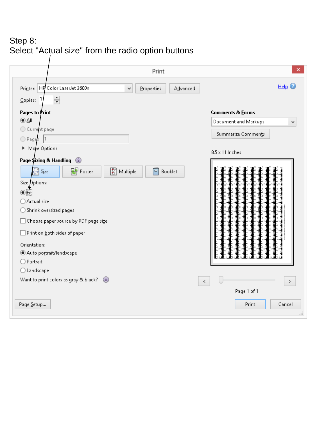### Step 8: Select "Actual size" from the radio option buttons

| Printer: HP Color LaserJet 2600n<br>$\checkmark$<br>Properties<br>Advanced<br>$\frac{1}{\tau}$<br>Copies: | Help $\odot$              |
|-----------------------------------------------------------------------------------------------------------|---------------------------|
|                                                                                                           |                           |
|                                                                                                           |                           |
| <b>Pages to Print</b>                                                                                     | Comments & Eorms          |
| 0A                                                                                                        | Document and Markups<br>٧ |
| C Current page                                                                                            |                           |
| Pages 1                                                                                                   | Summarize Comments        |
| More Options                                                                                              |                           |
|                                                                                                           | $8.5 \times 11$ Inches    |
| Page \$izing & Handling                                                                                   |                           |
| <b>Poster</b><br>A Multiple<br>F<br>H S <u>i</u> ze<br>Booklet                                            |                           |
| Size Options:                                                                                             |                           |
| ti∯                                                                                                       |                           |
| ○ Actual size                                                                                             |                           |
| ◯ Shrink oversized pages                                                                                  |                           |
|                                                                                                           |                           |
| $\Box$ Choose paper source by PDF page size                                                               |                           |
| $\Box$ Print on <u>b</u> oth sides of paper                                                               |                           |
| Orientation:                                                                                              |                           |
| Auto portrait/landscape                                                                                   | į                         |
| O Portrait                                                                                                |                           |
| ◯ Landscape                                                                                               |                           |
|                                                                                                           |                           |
| Want to print colors as gray & black?                                                                     | $\,<$<br>$\,>$            |
|                                                                                                           | Page 1 of 1               |
| Page Setup                                                                                                | Print<br>Cancel           |